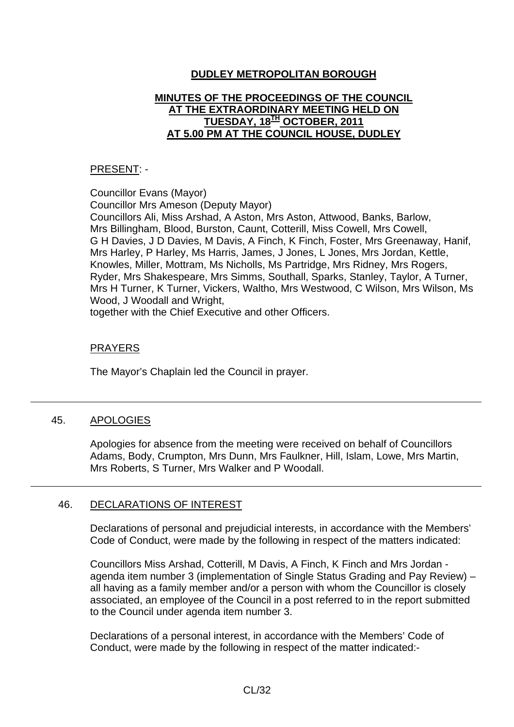# **DUDLEY METROPOLITAN BOROUGH**

## **MINUTES OF THE PROCEEDINGS OF THE COUNCIL AT THE EXTRAORDINARY MEETING HELD ON TUESDAY, 18TH OCTOBER, 2011 AT 5.00 PM AT THE COUNCIL HOUSE, DUDLEY**

### PRESENT: -

Councillor Evans (Mayor) Councillor Mrs Ameson (Deputy Mayor) Councillors Ali, Miss Arshad, A Aston, Mrs Aston, Attwood, Banks, Barlow, Mrs Billingham, Blood, Burston, Caunt, Cotterill, Miss Cowell, Mrs Cowell, G H Davies, J D Davies, M Davis, A Finch, K Finch, Foster, Mrs Greenaway, Hanif, Mrs Harley, P Harley, Ms Harris, James, J Jones, L Jones, Mrs Jordan, Kettle, Knowles, Miller, Mottram, Ms Nicholls, Ms Partridge, Mrs Ridney, Mrs Rogers, Ryder, Mrs Shakespeare, Mrs Simms, Southall, Sparks, Stanley, Taylor, A Turner, Mrs H Turner, K Turner, Vickers, Waltho, Mrs Westwood, C Wilson, Mrs Wilson, Ms Wood, J Woodall and Wright, together with the Chief Executive and other Officers.

### PRAYERS

The Mayor's Chaplain led the Council in prayer.

#### 45. APOLOGIES

Apologies for absence from the meeting were received on behalf of Councillors Adams, Body, Crumpton, Mrs Dunn, Mrs Faulkner, Hill, Islam, Lowe, Mrs Martin, Mrs Roberts, S Turner, Mrs Walker and P Woodall.

#### 46. DECLARATIONS OF INTEREST

Declarations of personal and prejudicial interests, in accordance with the Members' Code of Conduct, were made by the following in respect of the matters indicated:

Councillors Miss Arshad, Cotterill, M Davis, A Finch, K Finch and Mrs Jordan agenda item number 3 (implementation of Single Status Grading and Pay Review) – all having as a family member and/or a person with whom the Councillor is closely associated, an employee of the Council in a post referred to in the report submitted to the Council under agenda item number 3.

Declarations of a personal interest, in accordance with the Members' Code of Conduct, were made by the following in respect of the matter indicated:-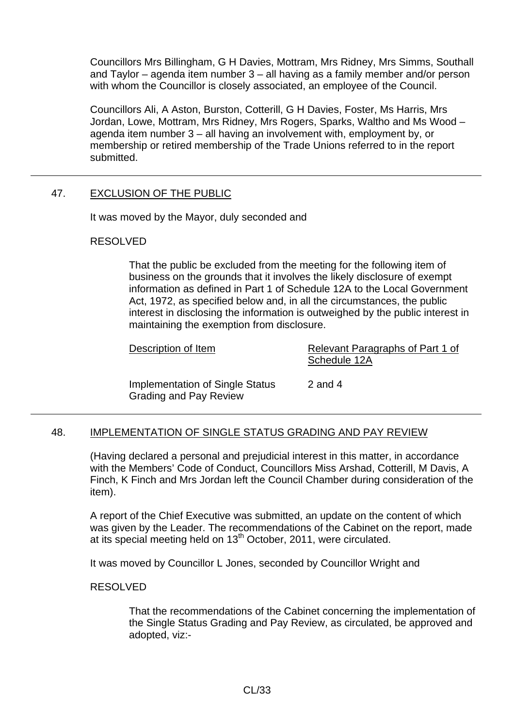Councillors Mrs Billingham, G H Davies, Mottram, Mrs Ridney, Mrs Simms, Southall and Taylor – agenda item number 3 – all having as a family member and/or person with whom the Councillor is closely associated, an employee of the Council.

Councillors Ali, A Aston, Burston, Cotterill, G H Davies, Foster, Ms Harris, Mrs Jordan, Lowe, Mottram, Mrs Ridney, Mrs Rogers, Sparks, Waltho and Ms Wood – agenda item number 3 – all having an involvement with, employment by, or membership or retired membership of the Trade Unions referred to in the report submitted.

## 47. EXCLUSION OF THE PUBLIC

It was moved by the Mayor, duly seconded and

RESOLVED

That the public be excluded from the meeting for the following item of business on the grounds that it involves the likely disclosure of exempt information as defined in Part 1 of Schedule 12A to the Local Government Act, 1972, as specified below and, in all the circumstances, the public interest in disclosing the information is outweighed by the public interest in maintaining the exemption from disclosure.

| Description of Item                                              | Relevant Paragraphs of Part 1 of<br>Schedule 12A |
|------------------------------------------------------------------|--------------------------------------------------|
| Implementation of Single Status<br><b>Grading and Pay Review</b> | 2 and 4                                          |

# 48. IMPLEMENTATION OF SINGLE STATUS GRADING AND PAY REVIEW

(Having declared a personal and prejudicial interest in this matter, in accordance with the Members' Code of Conduct, Councillors Miss Arshad, Cotterill, M Davis, A Finch, K Finch and Mrs Jordan left the Council Chamber during consideration of the item).

A report of the Chief Executive was submitted, an update on the content of which was given by the Leader. The recommendations of the Cabinet on the report, made at its special meeting held on  $13<sup>th</sup>$  October, 2011, were circulated.

It was moved by Councillor L Jones, seconded by Councillor Wright and

#### RESOLVED

That the recommendations of the Cabinet concerning the implementation of the Single Status Grading and Pay Review, as circulated, be approved and adopted, viz:-